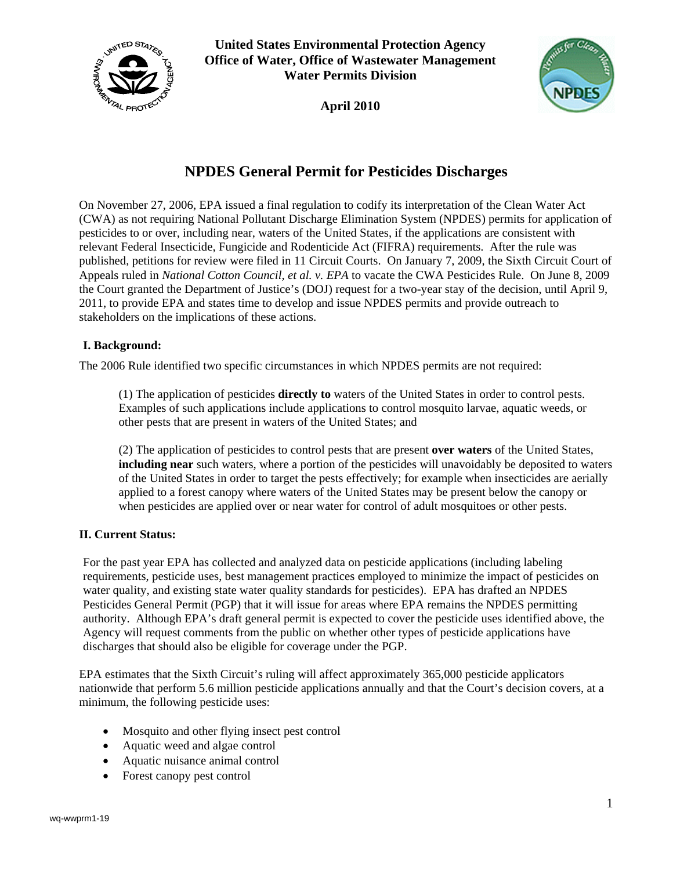

**United States Environmental Protection Agency Office of Water, Office of Wastewater Management Water Permits Division**

**April 2010**



## **NPDES General Permit for Pesticides Discharges**

On November 27, 2006, EPA issued a final regulation to codify its interpretation of the Clean Water Act (CWA) as not requiring National Pollutant Discharge Elimination System (NPDES) permits for application of pesticides to or over, including near, waters of the United States, if the applications are consistent with relevant Federal Insecticide, Fungicide and Rodenticide Act (FIFRA) requirements. After the rule was published, petitions for review were filed in 11 Circuit Courts. On January 7, 2009, the Sixth Circuit Court of Appeals ruled in *National Cotton Council, et al. v. EPA* to vacate the CWA Pesticides Rule. On June 8, 2009 the Court granted the Department of Justice's (DOJ) request for a two-year stay of the decision, until April 9, 2011, to provide EPA and states time to develop and issue NPDES permits and provide outreach to stakeholders on the implications of these actions.

## **I. Background:**

The 2006 Rule identified two specific circumstances in which NPDES permits are not required:

 (1) The application of pesticides **directly to** waters of the United States in order to control pests. Examples of such applications include applications to control mosquito larvae, aquatic weeds, or other pests that are present in waters of the United States; and

 (2) The application of pesticides to control pests that are present **over waters** of the United States, **including near** such waters, where a portion of the pesticides will unavoidably be deposited to waters of the United States in order to target the pests effectively; for example when insecticides are aerially applied to a forest canopy where waters of the United States may be present below the canopy or when pesticides are applied over or near water for control of adult mosquitoes or other pests.

## **II. Current Status:**

For the past year EPA has collected and analyzed data on pesticide applications (including labeling requirements, pesticide uses, best management practices employed to minimize the impact of pesticides on water quality, and existing state water quality standards for pesticides). EPA has drafted an NPDES Pesticides General Permit (PGP) that it will issue for areas where EPA remains the NPDES permitting authority. Although EPA's draft general permit is expected to cover the pesticide uses identified above, the Agency will request comments from the public on whether other types of pesticide applications have discharges that should also be eligible for coverage under the PGP.

EPA estimates that the Sixth Circuit's ruling will affect approximately 365,000 pesticide applicators nationwide that perform 5.6 million pesticide applications annually and that the Court's decision covers, at a minimum, the following pesticide uses:

- Mosquito and other flying insect pest control
- Aquatic weed and algae control
- Aquatic nuisance animal control
- Forest canopy pest control